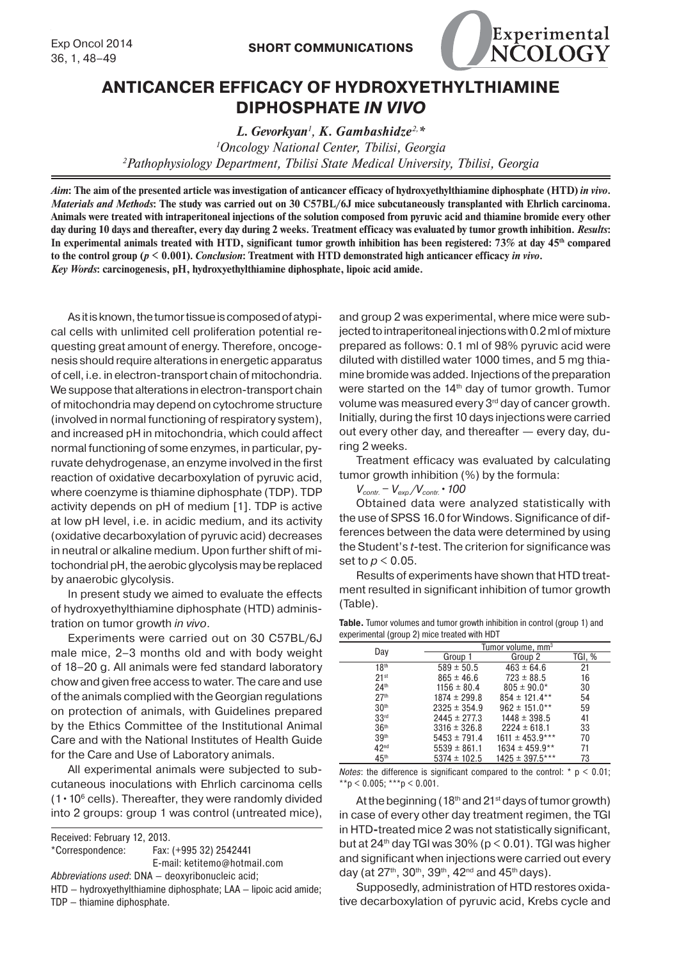

## **ANTICANCER EFFICACY OF HYDROXYETHYLTHIAMINE DIPHOSPHATE** *IN VIVO*

*L. Gevorkyan<sup>1</sup> , K. Gambashidze2,\* 1 Oncology National Center, Tbilisi, Georgia 2 Pathophysiology Department, Tbilisi State Medical University, Tbilisi, Georgia*

*Aim***: The aim of the presented article was investigation of anticancer efficacy of hydroxyethylthiamine diphosphate (HTD)** *in vivo***.**  *Materials and Methods***: The study was carried out on 30 C57BL/6J mice subcutaneously transplanted with Ehrlich carcinoma. Animals were treated with intraperitoneal injections of the solution composed from pyruvic acid and thiamine bromide every other**  day during 10 days and thereafter, every day during 2 weeks. Treatment efficacy was evaluated by tumor growth inhibition. *Results*: In experimental animals treated with HTD, significant tumor growth inhibition has been registered: 73% at day 45<sup>th</sup> compared **to the control group (***p* **< 0.001).** *Conclusion***: Treatment with HTD demonstrated high anticancer efficacy** *in vivo***.** *Key Words***: carcinogenesis, pH, hydroxyethylthiamine diphosphate, lipoic acid amide.**

As it is known, the tumor tissue is composed of atypical cells with unlimited cell proliferation potential requesting great amount of energy. Therefore, oncogenesis should require alterations in energetic apparatus of cell, i.e. in electron-transport chain of mitochondria. We suppose that alterations in electron-transport chain of mitochondria may depend on cytochrome structure (involved in normal functioning of respiratory system), and increased pH in mitochondria, which could affect normal functioning of some enzymes, in particular, pyruvate dehydrogenase, an enzyme involved in the first reaction of oxidative decarboxylation of pyruvic acid, where coenzyme is thiamine diphosphate (TDP). TDP activity depends on pH of medium [1]. TDP is active at low pH level, i.e. in acidic medium, and its activity (oxidative decarboxylation of pyruvic acid) decreases in neutral or alkaline medium. Upon further shift of mitochondrial pH, the aerobic glycolysis may be replaced by anaerobic glycolysis.

In present study we aimed to evaluate the effects of hydroxyethylthiamine diphosphate (HTD) administration on tumor growth *in vivo*.

Experiments were carried out on 30 C57BL/6J male mice, 2–3 months old and with body weight of 18–20 g. All animals were fed standard laboratory chow and given free access to water. The care and use of the animals complied with the Georgian regulations on protection of animals, with Guidelines prepared by the Ethics Committee of the Institutional Animal Care and with the National Institutes of Health Guide for the Care and Use of Laboratory animals.

All experimental animals were subjected to subcutaneous inoculations with Ehrlich carcinoma cells  $(1 \cdot 10^6 \text{ cells})$ . Thereafter, they were randomly divided into 2 groups: group 1 was control (untreated mice),

| Received: February 12, 2013.                                     |                              |  |  |  |  |
|------------------------------------------------------------------|------------------------------|--|--|--|--|
| *Correspondence:                                                 | Fax: (+995 32) 2542441       |  |  |  |  |
|                                                                  | E-mail: ketitemo@hotmail.com |  |  |  |  |
| Abbreviations used: DNA - deoxyribonucleic acid;                 |                              |  |  |  |  |
| HTD - hydroxyethylthiamine diphosphate; LAA - lipoic acid amide; |                              |  |  |  |  |
| TDP - thiamine diphosphate.                                      |                              |  |  |  |  |
|                                                                  |                              |  |  |  |  |

and group 2 was experimental, where mice were subjected to intraperitoneal injections with 0.2 ml of mixture prepared as follows: 0.1 ml of 98% pyruvic acid were diluted with distilled water 1000 times, and 5 mg thiamine bromide was added. Injections of the preparation were started on the 14<sup>th</sup> day of tumor growth. Tumor volume was measured every 3<sup>rd</sup> day of cancer growth. Initially, during the first 10 days injections were carried out every other day, and thereafter — every day, during 2 weeks.

Treatment efficacy was evaluated by calculating tumor growth inhibition (%) by the formula:

*Vcontr. − Vexp./Vcontr.•100*

Obtained data were analyzed statistically with the use of SPSS 16.0 for Windows. Significance of differences between the data were determined by using the Student's *t-*test. The criterion for significance was set to *p* < 0.05.

Results of experiments have shown that HTD treatment resulted in significant inhibition of tumor growth (Table).

|  | <b>Table.</b> Tumor volumes and tumor growth inhibition in control (group 1) and |  |  |  |
|--|----------------------------------------------------------------------------------|--|--|--|
|  | experimental (group 2) mice treated with HDT                                     |  |  |  |

| Day              | Tumor volume, mm <sup>3</sup> |                     |        |  |  |
|------------------|-------------------------------|---------------------|--------|--|--|
|                  | Group 1                       | Group 2             | TGI, % |  |  |
| 18 <sup>th</sup> | $589 \pm 50.5$                | $463 \pm 64.6$      | 21     |  |  |
| 21 <sup>st</sup> | $865 \pm 46.6$                | $723 \pm 88.5$      | 16     |  |  |
| 24 <sup>th</sup> | $1156 \pm 80.4$               | $805 \pm 90.0*$     | 30     |  |  |
| 27 <sup>th</sup> | $1874 \pm 299.8$              | $854 \pm 121.4***$  | 54     |  |  |
| 30 <sup>th</sup> | $2325 \pm 354.9$              | $962 \pm 151.0***$  | 59     |  |  |
| 33 <sup>rd</sup> | $2445 \pm 277.3$              | $1448 \pm 398.5$    | 41     |  |  |
| 36 <sup>th</sup> | $3316 \pm 326.8$              | $2224 \pm 618.1$    | 33     |  |  |
| 39 <sup>th</sup> | $5453 \pm 791.4$              | $1611 \pm 453.9***$ | 70     |  |  |
| 42 <sup>nd</sup> | $5539 \pm 861.1$              | $1634 \pm 459.9**$  | 71     |  |  |
| 45 <sup>th</sup> | $5374 \pm 102.5$              | $1425 \pm 397.5***$ | 73     |  |  |

*Notes*: the difference is significant compared to the control:  $* p < 0.01$ ; \*\*p < 0.005; \*\*\*p < 0.001.

At the beginning ( $18<sup>th</sup>$  and  $21<sup>st</sup>$  days of tumor growth) in case of every other day treatment regimen, the TGI in HTD**-**treated mice 2 was not statistically significant, but at  $24<sup>th</sup>$  day TGI was  $30\%$  (p  $\leq$  0.01). TGI was higher and significant when injections were carried out every day (at  $27^{th}$ ,  $30^{th}$ ,  $39^{th}$ ,  $42^{nd}$  and  $45^{th}$  days).

Supposedly, administration of HTD restores oxidative decarboxylation of pyruvic acid, Krebs cycle and